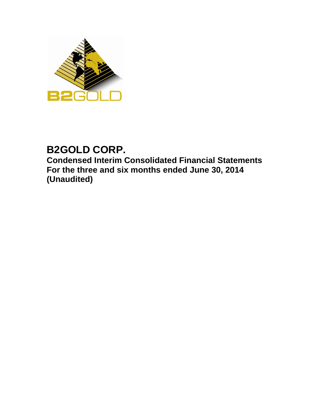

# **B2GOLD CORP.**

**Condensed Interim Consolidated Financial Statements For the three and six months ended June 30, 2014 (Unaudited)**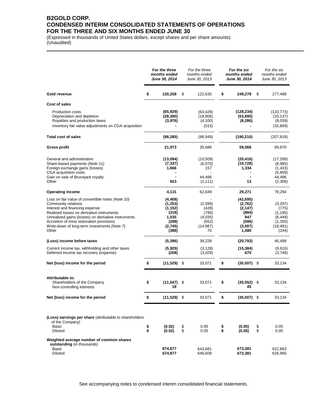### **B2GOLD CORP. CONDENSED INTERIM CONSOLIDATED STATEMENTS OF OPERATIONS FOR THE THREE AND SIX MONTHS ENDED JUNE 30**

\_\_\_\_\_\_\_\_\_\_\_\_\_\_\_\_\_\_\_\_\_\_\_\_\_\_\_\_\_\_\_\_\_\_\_\_\_\_\_\_\_\_\_\_\_\_\_\_\_\_\_\_\_\_\_\_\_\_\_\_\_\_\_\_\_\_\_\_\_\_\_\_\_\_\_\_\_\_\_\_\_\_\_\_\_\_\_\_\_

(Expressed in thousands of United States dollars, except shares and per share amounts) (Unaudited)

|                                                                                                                                                                                                                                                                                                                     |          | For the three<br>months ended<br><b>June 30, 2014</b>                          |          | For the three<br>months ended<br>June 30, 2013                   |          | For the six<br>months ended<br>June 30, 2014                                  |                               | For the six<br>months ended<br>June 30, 2013                               |  |  |
|---------------------------------------------------------------------------------------------------------------------------------------------------------------------------------------------------------------------------------------------------------------------------------------------------------------------|----------|--------------------------------------------------------------------------------|----------|------------------------------------------------------------------|----------|-------------------------------------------------------------------------------|-------------------------------|----------------------------------------------------------------------------|--|--|
| Gold revenue                                                                                                                                                                                                                                                                                                        | \$       | 120,258                                                                        | \$       | 122,635                                                          | \$       | 249,278                                                                       | S                             | 277,488                                                                    |  |  |
| Cost of sales                                                                                                                                                                                                                                                                                                       |          |                                                                                |          |                                                                  |          |                                                                               |                               |                                                                            |  |  |
| <b>Production costs</b><br>Depreciation and depletion<br>Royalties and production taxes<br>Inventory fair value adjustments on CGA acquisition                                                                                                                                                                      |          | (65, 929)<br>(28, 380)<br>(3,976)                                              |          | (63, 428)<br>(18,906)<br>(4,100)<br>(515)                        |          | (128, 234)<br>(53, 690)<br>(8, 286)                                           |                               | (133, 773)<br>(33, 137)<br>(8,039)<br>(32, 869)                            |  |  |
| Total cost of sales                                                                                                                                                                                                                                                                                                 |          | (98, 285)                                                                      |          | (86, 949)                                                        |          | (190, 210)                                                                    |                               | (207, 818)                                                                 |  |  |
| Gross profit                                                                                                                                                                                                                                                                                                        |          | 21,973                                                                         |          | 35,686                                                           |          | 59,068                                                                        |                               | 69,670                                                                     |  |  |
| General and administrative<br>Share-based payments (Note 11)<br>Foreign exchange gains (losses)<br>CGA acquisition costs<br>Gain on sale of Brucejack royalty<br>Other                                                                                                                                              |          | (13,094)<br>(7, 337)<br>1,666<br>923                                           |          | (10, 509)<br>(6,070)<br>157<br>44,496<br>(1, 111)                |          | (20, 416)<br>(10, 728)<br>1,334<br>13                                         |                               | (17, 289)<br>(8,985)<br>(1,433)<br>(5, 859)<br>44,496<br>(2,306)           |  |  |
| <b>Operating income</b>                                                                                                                                                                                                                                                                                             |          | 4,131                                                                          |          | 62,649                                                           |          | 29,271                                                                        |                               | 78,294                                                                     |  |  |
| Loss on fair value of convertible notes (Note 10)<br>Community relations<br>Interest and financing expense<br>Realized losses on derivative instruments<br>Unrealized gains (losses) on derivative instruments<br>Accretion of mine restoration provisions<br>Write-down of long-term investments (Note 7)<br>Other |          | (4, 408)<br>(1,253)<br>(1, 152)<br>(318)<br>1,035<br>(298)<br>(2,745)<br>(388) |          | (2,599)<br>(428)<br>(790)<br>(4,035)<br>(652)<br>(14, 987)<br>70 |          | (42, 695)<br>(2,762)<br>(2, 147)<br>(884)<br>947<br>(596)<br>(3,007)<br>1,080 |                               | (3,297)<br>(775)<br>(1, 195)<br>(6, 449)<br>(1, 355)<br>(18, 481)<br>(244) |  |  |
| (Loss) income before taxes                                                                                                                                                                                                                                                                                          |          | (5, 396)                                                                       |          | 39,228                                                           |          | (20, 793)                                                                     |                               | 46,498                                                                     |  |  |
| Current income tax, withholding and other taxes<br>Deferred income tax recovery (expense)                                                                                                                                                                                                                           |          | (5, 925)<br>(208)                                                              |          | (3, 128)<br>(3,029)                                              |          | (15, 384)<br>670                                                              |                               | (9,616)<br>(3,748)                                                         |  |  |
| Net (loss) income for the period                                                                                                                                                                                                                                                                                    | \$       | $(11,529)$ \$                                                                  |          | 33,071                                                           | \$       | $(35,507)$ \$                                                                 |                               | 33,134                                                                     |  |  |
| Attributable to:<br>Shareholders of the Company<br>Non-controlling interests                                                                                                                                                                                                                                        | \$       | (11, 547)<br>18                                                                | - \$     | 33,071                                                           | \$       | (35, 552)<br>45                                                               | \$                            | 33,134                                                                     |  |  |
| Net (loss) income for the period                                                                                                                                                                                                                                                                                    | Þ        | $(11,529)$ \$                                                                  |          | 33,071                                                           | P.       | $(35,507)$ \$                                                                 |                               | 33,134                                                                     |  |  |
| (Loss) earnings per share (attributable to shareholders<br>of the Company)<br>Basic<br><b>Diluted</b>                                                                                                                                                                                                               | \$<br>\$ | (0.02)<br>(0.02)                                                               | \$<br>\$ | 0.05<br>0.05                                                     | \$<br>\$ | (0.05)<br>(0.05)                                                              | \$<br>$\sqrt[6]{\frac{1}{2}}$ | 0.05<br>0.05                                                               |  |  |
| Weighted average number of common shares<br>outstanding (in thousands)<br>Basic                                                                                                                                                                                                                                     |          | 674,877                                                                        |          | 643,681                                                          |          | 673,381                                                                       |                               | 622.663                                                                    |  |  |
| Diluted                                                                                                                                                                                                                                                                                                             |          | 674,877                                                                        |          | 646,609                                                          |          | 673,381                                                                       |                               | 626,965                                                                    |  |  |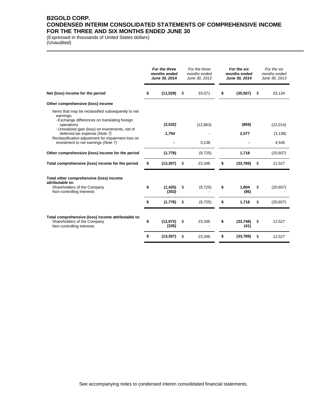### **B2GOLD CORP. CONDENSED INTERIM CONSOLIDATED STATEMENTS OF COMPREHENSIVE INCOME FOR THE THREE AND SIX MONTHS ENDED JUNE 30**

\_\_\_\_\_\_\_\_\_\_\_\_\_\_\_\_\_\_\_\_\_\_\_\_\_\_\_\_\_\_\_\_\_\_\_\_\_\_\_\_\_\_\_\_\_\_\_\_\_\_\_\_\_\_\_\_\_\_\_\_\_\_\_\_\_\_\_\_\_\_\_\_\_\_\_\_\_\_\_\_\_\_\_\_\_\_\_\_\_

(Expressed in thousands of United States dollars) (Unaudited)

|                                                                                                                  | For the three<br>months ended<br>June 30, 2014 |                    | For the three<br>months ended<br>June 30, 2013 |           | For the six<br>months ended<br>June 30, 2014 |                  | For the six<br>months ended<br>June 30, 2013 |           |
|------------------------------------------------------------------------------------------------------------------|------------------------------------------------|--------------------|------------------------------------------------|-----------|----------------------------------------------|------------------|----------------------------------------------|-----------|
| Net (loss) income for the period                                                                                 | S                                              | (11, 529)          | \$                                             | 33,071    | \$                                           | (35, 507)        | S                                            | 33,134    |
| Other comprehensive (loss) income                                                                                |                                                |                    |                                                |           |                                              |                  |                                              |           |
| Items that may be reclassified subsequently to net<br>earnings:<br>- Exchange differences on translating foreign |                                                |                    |                                                |           |                                              |                  |                                              |           |
| operations<br>- Unrealized gain (loss) on investments, net of                                                    |                                                | (3,532)            |                                                | (12, 863) |                                              | (859)            |                                              | (22,014)  |
| deferred tax expense (Note 7)<br>Reclassification adjustment for impairment loss on                              |                                                | 1,754              |                                                |           |                                              | 2,577            |                                              | (3, 138)  |
| investment to net earnings (Note 7)                                                                              |                                                |                    |                                                | 3,138     |                                              |                  |                                              | 4,545     |
| Other comprehensive (loss) income for the period                                                                 |                                                | (1,778)            |                                                | (9, 725)  |                                              | 1,718            |                                              | (20, 607) |
| Total comprehensive (loss) income for the period                                                                 | \$                                             | (13, 307)          | \$                                             | 23,346    | \$                                           | (33,789)         | \$                                           | 12,527    |
| Total other comprehensive (loss) income<br>attributable to:                                                      |                                                |                    |                                                |           |                                              |                  |                                              |           |
| Shareholders of the Company<br>Non-controlling interests                                                         | \$                                             | (1, 425)<br>(353)  | \$                                             | (9, 725)  | \$                                           | 1,804<br>(86)    | \$                                           | (20, 607) |
|                                                                                                                  | \$                                             | (1,778)            | \$                                             | (9, 725)  | \$                                           | 1,718            | \$                                           | (20, 607) |
| Total comprehensive (loss) income attributable to:<br>Shareholders of the Company<br>Non-controlling interests   | \$                                             | (12, 972)<br>(335) | \$                                             | 23,346    | \$                                           | (33,748)<br>(41) | \$                                           | 12,527    |
|                                                                                                                  | \$                                             | (13, 307)          | \$                                             | 23,346    | \$                                           | (33,789)         | \$                                           | 12,527    |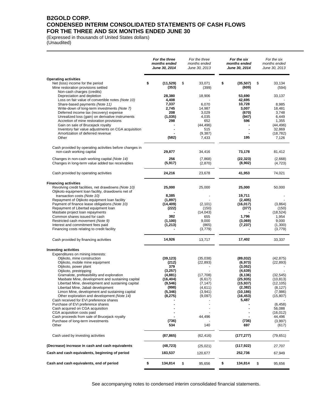### **B2GOLD CORP. CONDENSED INTERIM CONSOLIDATED STATEMENTS OF CASH FLOWS FOR THE THREE AND SIX MONTHS ENDED JUNE 30**

\_\_\_\_\_\_\_\_\_\_\_\_\_\_\_\_\_\_\_\_\_\_\_\_\_\_\_\_\_\_\_\_\_\_\_\_\_\_\_\_\_\_\_\_\_\_\_\_\_\_\_\_\_\_\_\_\_\_\_\_\_\_\_\_\_\_\_\_\_\_\_\_\_\_\_\_\_\_\_\_\_\_\_\_\_\_\_\_\_

(Expressed in thousands of United States dollars) (Unaudited)

|                                                                                                            | For the three<br>months ended<br>June 30, 2014 | For the three<br>months ended<br>June 30, 2013 | For the six<br>months ended<br>June 30, 2014 | For the six<br>months ended<br>June 30, 2013 |
|------------------------------------------------------------------------------------------------------------|------------------------------------------------|------------------------------------------------|----------------------------------------------|----------------------------------------------|
| <b>Operating activities</b>                                                                                |                                                |                                                |                                              |                                              |
| Net (loss) income for the period<br>Mine restoration provisions settled                                    | \$<br>(11, 529)<br>(353)                       | \$<br>33,071<br>(399)                          | \$<br>(35, 507)<br>(609)                     | \$<br>33,134<br>(594)                        |
| Non-cash charges (credits)                                                                                 |                                                |                                                |                                              |                                              |
| Depreciation and depletion<br>Loss on fair value of convertible notes (Note 10)                            | 28,380<br>4,408                                | 18,906                                         | 53,690<br>42,695                             | 33,137                                       |
| Share-based payments (Note 11)                                                                             | 7,337                                          | 6,070                                          | 10,728                                       | 8,985                                        |
| Write-down of long-term investments (Note 7)                                                               | 2,745                                          | 14,987                                         | 3,007                                        | 18,481                                       |
| Deferred income tax (recovery) expense<br>Unrealized loss (gain) on derivative instruments                 | 208<br>(1,035)                                 | 3,029<br>4,035                                 | (670)<br>(947)                               | 3,748<br>6,449                               |
| Accretion of mine restoration provisions                                                                   | 298                                            | 652                                            | 596                                          | 1,355                                        |
| Gain on sale of Brucejack royalty                                                                          |                                                | (44, 496)                                      |                                              | (44, 496)                                    |
| Inventory fair value adjustments on CGA acquisition<br>Amortization of deferred revenue                    |                                                | 515<br>(9, 387)                                |                                              | 32,869<br>(18, 782)                          |
| Other                                                                                                      | (582)                                          | 7,433                                          | 195                                          | 7,126                                        |
| Cash provided by operating activities before changes in                                                    |                                                |                                                |                                              |                                              |
| non-cash working capital                                                                                   | 29,877                                         | 34,416                                         | 73,178                                       | 81,412                                       |
| Changes in non-cash working capital (Note 14)                                                              | 256                                            | (7,868)                                        | (22, 323)                                    | (2,668)                                      |
| Changes in long-term value added tax receivables                                                           | (5, 917)                                       | (2,870)                                        | (8,902)                                      | (4, 723)                                     |
| Cash provided by operating activities                                                                      | 24,216                                         | 23,678                                         | 41.953                                       | 74,021                                       |
| <b>Financing activities</b>                                                                                |                                                |                                                |                                              |                                              |
| Revolving credit facilities, net drawdowns (Note 10)<br>Otjikoto equipment loan facility, drawdowns net of | 25,000                                         | 25,000                                         | 25,000                                       | 50,000                                       |
| transaction costs (Note 10)                                                                                | 8,385                                          |                                                | 19,711                                       |                                              |
| Repayment of Otjikoto equipment loan facility                                                              | (1, 897)                                       |                                                | (2, 405)                                     |                                              |
| Payment of finance lease obligations (Note 10)<br>Repayment of Libertad equipment loan                     | (14, 409)<br>(222)                             | (2, 101)<br>(150)                              | (16, 017)<br>(377)                           | (3,864)<br>(150)                             |
| Masbate project loan repayments                                                                            |                                                | (14, 043)                                      |                                              | (18, 524)                                    |
| Common shares issued for cash                                                                              | 382<br>(1, 100)                                | 655<br>9,000                                   | 1,796                                        | 1,954<br>9,000                               |
| Restricted cash movement (Note 9)<br>Interest and commitment fees paid                                     | (1, 213)                                       | (865)                                          | (3,069)<br>(7,237)                           | (1,300)                                      |
| Financing costs relating to credit facility                                                                |                                                | (3,779)                                        |                                              | (3, 779)                                     |
| Cash provided by financing activities                                                                      | 14,926                                         | 13,717                                         | 17,402                                       | 33,337                                       |
| <b>Investing activities</b>                                                                                |                                                |                                                |                                              |                                              |
| Expenditures on mining interests:                                                                          |                                                |                                                |                                              |                                              |
| Otjikoto, mine construction<br>Otjikoto, mobile mine equipment                                             | (39, 123)<br>(212)                             | (35,038)<br>(22, 893)                          | (89, 032)<br>(6,973)                         | (42, 875)<br>(22, 893)                       |
| Otjikoto, power plant                                                                                      | 379                                            |                                                | (3,052)                                      |                                              |
| Otjikoto, prestripping<br>Gramalote, prefeasibility and exploration                                        | (3,257)                                        |                                                | (4,639)                                      |                                              |
| Masbate Mine, development and sustaining capital                                                           | (4,881)<br>(16, 404)                           | (17,708)<br>(6,617)                            | (8, 136)<br>(25, 935)                        | (32, 545)<br>(10, 813)                       |
| Libertad Mine, development and sustaining capital                                                          | (9, 546)                                       | (7, 147)                                       | (15, 937)                                    | (12, 105)                                    |
| Libertad Mine, Jabali development<br>Limon Mine, development and sustaining capital                        | (998)<br>(5, 346)                              | (4, 611)<br>(3,941)                            | (2, 382)<br>(10, 186)                        | (8, 127)<br>(7,986)                          |
| Other exploration and development (Note 14)                                                                | (8, 275)                                       | (9,097)                                        | (16, 453)                                    | (15, 807)                                    |
| Cash received for EVI preference shares                                                                    |                                                |                                                | 5,487                                        |                                              |
| Purchase of EVI preference shares<br>Cash acquired on CGA acquisition                                      |                                                |                                                |                                              | (6, 458)<br>56,088                           |
| CGA acquisition costs paid                                                                                 |                                                |                                                |                                              | (16, 012)                                    |
| Cash proceeds from sale of Brucejack royalty                                                               |                                                | 44,496                                         |                                              | 44,496                                       |
| Purchase of long-term investments<br>Other                                                                 | (736)<br>534                                   | 140                                            | (736)<br>697                                 | (3,997)<br>(617)                             |
| Cash used by investing activities                                                                          | (87, 865)                                      | (62, 416)                                      | (177, 277)                                   | (79, 651)                                    |
|                                                                                                            |                                                |                                                |                                              |                                              |
| (Decrease) increase in cash and cash equivalents                                                           | (48, 723)                                      | (25, 021)                                      | (117,922)                                    | 27,707                                       |
| Cash and cash equivalents, beginning of period                                                             | 183,537                                        | 120,677                                        | 252,736                                      | 67,949                                       |
| Cash and cash equivalents, end of period                                                                   | \$<br>134,814                                  | \$<br>95,656                                   | \$<br>134,814                                | \$<br>95,656                                 |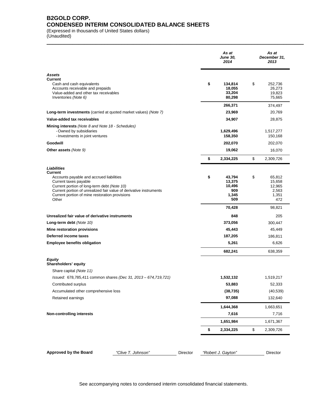### **B2GOLD CORP. CONDENSED INTERIM CONSOLIDATED BALANCE SHEETS**

(Expressed in thousands of United States dollars) (Unaudited)

|                                                                                                                                                                                                                                                                                    | As at<br><b>June 30,</b><br>2014                        | As at<br>December 31,<br>2013                             |
|------------------------------------------------------------------------------------------------------------------------------------------------------------------------------------------------------------------------------------------------------------------------------------|---------------------------------------------------------|-----------------------------------------------------------|
| <b>Assets</b><br><b>Current</b><br>Cash and cash equivalents<br>Accounts receivable and prepaids<br>Value-added and other tax receivables<br>Inventories (Note 6)                                                                                                                  | \$<br>134,814<br>18,055<br>33,204<br>80,298             | \$<br>252,736<br>26,273<br>19,823<br>75,665               |
|                                                                                                                                                                                                                                                                                    | 266,371                                                 | 374,497                                                   |
| Long-term investments (carried at quoted market values) (Note 7)                                                                                                                                                                                                                   | 23,969                                                  | 20,769                                                    |
| Value-added tax receivables                                                                                                                                                                                                                                                        | 34,907                                                  | 28,875                                                    |
| Mining interests (Note 8 and Note 18 - Schedules)<br>- Owned by subsidiaries<br>- Investments in joint ventures                                                                                                                                                                    | 1,629,496<br>158,350                                    | 1,517,277<br>150,168                                      |
| Goodwill                                                                                                                                                                                                                                                                           | 202,070                                                 | 202,070                                                   |
| <b>Other assets (Note 9)</b>                                                                                                                                                                                                                                                       | 19,062                                                  | 16,070                                                    |
|                                                                                                                                                                                                                                                                                    | \$<br>2,334,225                                         | \$<br>2,309,726                                           |
| Liabilities<br><b>Current</b><br>Accounts payable and accrued liabilities<br>Current taxes payable<br>Current portion of long-term debt (Note 10)<br>Current portion of unrealized fair value of derivative instruments<br>Current portion of mine restoration provisions<br>Other | \$<br>43,794<br>13,375<br>10,496<br>909<br>1,345<br>509 | \$<br>65,812<br>15,658<br>12,965<br>2,563<br>1,351<br>472 |
|                                                                                                                                                                                                                                                                                    | 70,428                                                  | 98,821                                                    |
| Unrealized fair value of derivative instruments                                                                                                                                                                                                                                    | 848                                                     | 205                                                       |
| Long-term debt (Note 10)                                                                                                                                                                                                                                                           | 373,056                                                 | 300,447                                                   |
| Mine restoration provisions                                                                                                                                                                                                                                                        | 45,443                                                  | 45,449                                                    |
| Deferred income taxes                                                                                                                                                                                                                                                              | 187,205                                                 | 186,811                                                   |
| <b>Employee benefits obligation</b>                                                                                                                                                                                                                                                | 5,261                                                   | 6,626                                                     |
|                                                                                                                                                                                                                                                                                    | 682,241                                                 | 638,359                                                   |
| <b>Equity</b><br>Shareholders' equity<br>Share capital (Note 11)                                                                                                                                                                                                                   |                                                         |                                                           |
| Issued: 678,785,411 common shares (Dec 31, 2013 - 674,719,721)                                                                                                                                                                                                                     | 1,532,132                                               | 1,519,217                                                 |
| Contributed surplus                                                                                                                                                                                                                                                                | 53,883                                                  | 52,333                                                    |
| Accumulated other comprehensive loss                                                                                                                                                                                                                                               | (38, 735)                                               | (40, 539)                                                 |
| Retained earnings                                                                                                                                                                                                                                                                  | 97,088                                                  | 132,640                                                   |
|                                                                                                                                                                                                                                                                                    | 1,644,368                                               | 1,663,651                                                 |
| Non-controlling interests                                                                                                                                                                                                                                                          | 7,616                                                   | 7,716                                                     |
|                                                                                                                                                                                                                                                                                    | 1,651,984                                               | 1,671,367                                                 |
|                                                                                                                                                                                                                                                                                    | \$<br>2,334,225                                         | \$<br>2,309,726                                           |
| Approved by the Board<br>"Clive T. Johnson"<br>Director                                                                                                                                                                                                                            | "Robert J. Gayton"                                      | Director                                                  |

\_\_\_\_\_\_\_\_\_\_\_\_\_\_\_\_\_\_\_\_\_\_\_\_\_\_\_\_\_\_\_\_\_\_\_\_\_\_\_\_\_\_\_\_\_\_\_\_\_\_\_\_\_\_\_\_\_\_\_\_\_\_\_\_\_\_\_\_\_\_\_\_\_\_\_\_\_\_\_\_\_\_\_\_\_\_\_\_\_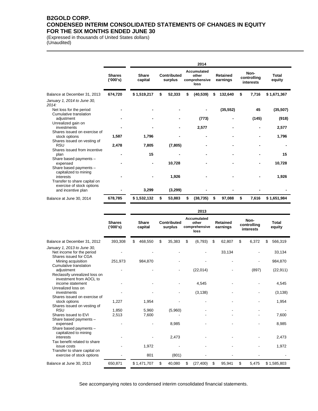### **B2GOLD CORP. CONDENSED INTERIM CONSOLIDATED STATEMENTS OF CHANGES IN EQUITY FOR THE SIX MONTHS ENDED JUNE 30**

(Expressed in thousands of United States dollars) (Unaudited)

|                                                                           |                           | 2014                    |    |                        |    |                                               |    |                             |    |                                  |                 |
|---------------------------------------------------------------------------|---------------------------|-------------------------|----|------------------------|----|-----------------------------------------------|----|-----------------------------|----|----------------------------------|-----------------|
|                                                                           | <b>Shares</b><br>('000's) | <b>Share</b><br>capital |    | Contributed<br>surplus |    | Accumulated<br>other<br>comprehensive<br>loss |    | <b>Retained</b><br>earnings |    | Non-<br>controlling<br>interests | Total<br>equity |
| Balance at December 31, 2013                                              | 674,720                   | \$1,519,217             | \$ | 52,333                 | \$ | (40, 539)                                     | S  | 132,640                     | \$ | 7,716                            | \$1,671,367     |
| January 1, 2014 to June 30,<br>2014:                                      |                           |                         |    |                        |    |                                               |    |                             |    |                                  |                 |
| Net loss for the period<br>Cumulative translation                         |                           |                         |    |                        |    |                                               |    | (35, 552)                   |    | 45                               | (35, 507)       |
| adjustment                                                                |                           |                         |    |                        |    | (773)                                         |    |                             |    | (145)                            | (918)           |
| Unrealized gain on<br>investments<br>Shares issued on exercise of         |                           |                         |    |                        |    | 2,577                                         |    |                             |    |                                  | 2,577           |
| stock options                                                             | 1,587                     | 1,796                   |    |                        |    |                                               |    |                             |    |                                  | 1,796           |
| Shares issued on vesting of<br><b>RSU</b><br>Shares issued from incentive | 2,478                     | 7,805                   |    | (7, 805)               |    |                                               |    |                             |    |                                  |                 |
| plan                                                                      |                           | 15                      |    |                        |    |                                               |    |                             |    |                                  | 15              |
| Share based payments -<br>expensed<br>Share based payments -              |                           |                         |    | 10,728                 |    |                                               |    |                             |    |                                  | 10,728          |
| capitalized to mining<br>interests<br>Transfer to share capital on        |                           |                         |    | 1,926                  |    |                                               |    |                             |    |                                  | 1,926           |
| exercise of stock options<br>and incentive plan                           |                           | 3,299                   |    | (3,299)                |    |                                               |    |                             |    |                                  |                 |
| Balance at June 30, 2014                                                  | 678,785                   | \$1,532,132             | \$ | 53,883                 | \$ | (38, 735)                                     | \$ | 97,088                      | \$ | 7,616                            | \$1,651,984     |

\_\_\_\_\_\_\_\_\_\_\_\_\_\_\_\_\_\_\_\_\_\_\_\_\_\_\_\_\_\_\_\_\_\_\_\_\_\_\_\_\_\_\_\_\_\_\_\_\_\_\_\_\_\_\_\_\_\_\_\_\_\_\_\_\_\_\_\_\_\_\_\_\_\_\_\_\_\_\_\_\_\_\_\_\_\_\_\_\_

|                                                           |                           |                         |                               | 2013                                          |                             |                                  |                        |
|-----------------------------------------------------------|---------------------------|-------------------------|-------------------------------|-----------------------------------------------|-----------------------------|----------------------------------|------------------------|
|                                                           | <b>Shares</b><br>('000's) | <b>Share</b><br>capital | <b>Contributed</b><br>surplus | Accumulated<br>other<br>comprehensive<br>loss | <b>Retained</b><br>earnings | Non-<br>controlling<br>interests | <b>Total</b><br>equity |
| Balance at December 31, 2012                              | 393,308                   | \$<br>468,550           | \$<br>35,383                  | \$<br>(6, 793)                                | \$<br>62,807                | \$<br>6,372                      | \$<br>566,319          |
| January 1, 2013 to June 30,                               |                           |                         |                               |                                               |                             |                                  |                        |
| Net income for the period<br>Shares issued for CGA        |                           |                         |                               |                                               | 33,134                      |                                  | 33,134                 |
| Mining acquisition                                        | 251,973                   | 984,870                 |                               |                                               |                             |                                  | 984,870                |
| Cumulative translation                                    |                           |                         |                               |                                               |                             |                                  |                        |
| adjustment                                                |                           |                         |                               | (22, 014)                                     |                             | (897)                            | (22, 911)              |
| Reclassify unrealized loss on<br>investment from AOCL to  |                           |                         |                               |                                               |                             |                                  |                        |
| income statement                                          |                           |                         |                               | 4,545                                         |                             |                                  | 4,545                  |
| Unrealized loss on                                        |                           |                         |                               |                                               |                             |                                  |                        |
| investments                                               |                           |                         |                               | (3, 138)                                      |                             |                                  | (3, 138)               |
| Shares issued on exercise of                              |                           |                         |                               |                                               |                             |                                  |                        |
| stock options                                             | 1,227                     | 1,954                   |                               |                                               |                             |                                  | 1,954                  |
| Shares issued on vesting of                               |                           |                         |                               |                                               |                             |                                  |                        |
| <b>RSU</b>                                                | 1,850                     | 5,960                   | (5,960)                       |                                               |                             |                                  |                        |
| Shares issued to EVI                                      | 2,513                     | 7,600                   |                               |                                               |                             |                                  | 7,600                  |
| Share based payments -                                    |                           |                         |                               |                                               |                             |                                  |                        |
| expensed                                                  |                           |                         | 8,985                         |                                               |                             |                                  | 8,985                  |
| Share based payments -                                    |                           |                         |                               |                                               |                             |                                  |                        |
| capitalized to mining                                     |                           |                         |                               |                                               |                             |                                  |                        |
| interests                                                 |                           |                         | 2,473                         |                                               |                             |                                  | 2,473                  |
| Tax benefit related to share                              |                           |                         |                               |                                               |                             |                                  |                        |
| issue costs                                               |                           | 1,972                   |                               |                                               |                             |                                  | 1.972                  |
| Transfer to share capital on<br>exercise of stock options |                           | 801                     | (801)                         |                                               |                             |                                  |                        |
| Balance at June 30, 2013                                  | 650,871                   | \$1,471,707             | \$<br>40,080                  | \$<br>(27, 400)                               | \$<br>95,941                | \$<br>5,475                      | \$1,585,803            |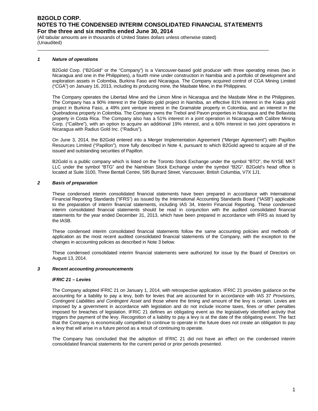\_\_\_\_\_\_\_\_\_\_\_\_\_\_\_\_\_\_\_\_\_\_\_\_\_\_\_\_\_\_\_\_\_\_\_\_\_\_\_\_\_\_\_\_\_\_\_\_\_\_\_\_\_\_\_\_\_\_\_\_\_\_\_\_\_\_\_\_\_\_\_\_\_\_\_\_\_\_\_\_\_\_\_\_\_\_\_\_\_

(All tabular amounts are in thousands of United States dollars unless otherwise stated) (Unaudited)

#### *1 Nature of operations*

B2Gold Corp. ("B2Gold" or the "Company") is a Vancouver-based gold producer with three operating mines (two in Nicaragua and one in the Philippines), a fourth mine under construction in Namibia and a portfolio of development and exploration assets in Colombia, Burkina Faso and Nicaragua. The Company acquired control of CGA Mining Limited ("CGA") on January 16, 2013, including its producing mine, the Masbate Mine, in the Philippines.

The Company operates the Libertad Mine and the Limon Mine in Nicaragua and the Masbate Mine in the Philippines. The Company has a 90% interest in the Otjikoto gold project in Namibia, an effective 81% interest in the Kiaka gold project in Burkina Faso, a 49% joint venture interest in the Gramalote property in Colombia, and an interest in the Quebradona property in Colombia. The Company owns the Trebol and Pavon properties in Nicaragua and the Bellavista property in Costa Rica. The Company also has a 51% interest in a joint operation in Nicaragua with Calibre Mining Corp. ("Calibre"), with an option to acquire an additional 19% interest, and a 60% interest in two joint operations in Nicaragua with Radius Gold Inc. ("Radius").

On June 3, 2014, the B2Gold entered into a Merger Implementation Agreement ("Merger Agreement") with Papillon Resources Limited ("Papillon"), more fully described in Note 4, pursuant to which B2Gold agreed to acquire all of the issued and outstanding securities of Papillon.

B2Gold is a public company which is listed on the Toronto Stock Exchange under the symbol "BTO", the NYSE MKT LLC under the symbol "BTG" and the Namibian Stock Exchange under the symbol "B2G". B2Gold's head office is located at Suite 3100, Three Bentall Centre, 595 Burrard Street, Vancouver, British Columbia, V7X 1J1.

#### *2 Basis of preparation*

These condensed interim consolidated financial statements have been prepared in accordance with International Financial Reporting Standards ("IFRS") as issued by the International Accounting Standards Board ("IASB") applicable to the preparation of interim financial statements, including IAS 34, Interim Financial Reporting. These condensed interim consolidated financial statements should be read in conjunction with the audited consolidated financial statements for the year ended December 31, 2013, which have been prepared in accordance with IFRS as issued by the IASB.

These condensed interim consolidated financial statements follow the same accounting policies and methods of application as the most recent audited consolidated financial statements of the Company, with the exception to the changes in accounting policies as described in Note 3 below.

These condensed consolidated interim financial statements were authorized for issue by the Board of Directors on August 13, 2014.

#### *3 Recent accounting pronouncements*

#### *IFRIC 21 – Levies*

The Company adopted IFRIC 21 on January 1, 2014, with retrospective application. IFRIC 21 provides guidance on the accounting for a liability to pay a levy, both for levies that are accounted for in accordance with IAS 37 *Provisions, Contingent Liabilities and Contingent Asset* and those where the timing and amount of the levy is certain. Levies are imposed by a government in accordance with legislation and do not include income taxes, fines or other penalties imposed for breaches of legislation. IFRIC 21 defines an obligating event as the legislatively identified activity that triggers the payment of the levy. Recognition of a liability to pay a levy is at the date of the obligating event. The fact that the Company is economically compelled to continue to operate in the future does not create an obligation to pay a levy that will arise in a future period as a result of continuing to operate.

The Company has concluded that the adoption of IFRIC 21 did not have an effect on the condensed interim consolidated financial statements for the current period or prior periods presented.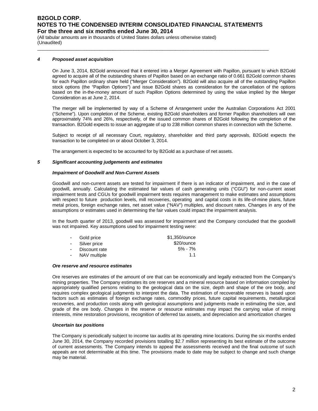\_\_\_\_\_\_\_\_\_\_\_\_\_\_\_\_\_\_\_\_\_\_\_\_\_\_\_\_\_\_\_\_\_\_\_\_\_\_\_\_\_\_\_\_\_\_\_\_\_\_\_\_\_\_\_\_\_\_\_\_\_\_\_\_\_\_\_\_\_\_\_\_\_\_\_\_\_\_\_\_\_\_\_\_\_\_\_\_\_

(All tabular amounts are in thousands of United States dollars unless otherwise stated) (Unaudited)

#### *4 Proposed asset acquisition*

On June 3, 2014, B2Gold announced that it entered into a Merger Agreement with Papillon, pursuant to which B2Gold agreed to acquire all of the outstanding shares of Papillon based on an exchange ratio of 0.661 B2Gold common shares for each Papillon ordinary share held ("Merger Consideration"). B2Gold will also acquire all of the outstanding Papillon stock options (the "Papillon Options") and issue B2Gold shares as consideration for the cancellation of the options based on the in-the-money amount of such Papillon Options determined by using the value implied by the Merger Consideration as at June 2, 2014.

The merger will be implemented by way of a Scheme of Arrangement under the Australian Corporations Act 2001 ("Scheme"). Upon completion of the Scheme, existing B2Gold shareholders and former Papillon shareholders will own approximately 74% and 26%, respectively, of the issued common shares of B2Gold following the completion of the transaction. B2Gold expects to issue an aggregate of up to 238 million common shares in connection with the Scheme.

Subject to receipt of all necessary Court, regulatory, shareholder and third party approvals, B2Gold expects the transaction to be completed on or about October 3, 2014.

The arrangement is expected to be accounted for by B2Gold as a purchase of net assets.

#### *5 Significant accounting judgements and estimates*

#### *Impairment of Goodwill and Non-Current Assets*

Goodwill and non-current assets are tested for impairment if there is an indicator of impairment, and in the case of goodwill, annually. Calculating the estimated fair values of cash generating units ("CGU") for non-current asset impairment tests and CGUs for goodwill impairment tests requires management to make estimates and assumptions with respect to future production levels, mill recoveries, operating and capital costs in its life-of-mine plans, future metal prices, foreign exchange rates, net asset value ("NAV") multiples, and discount rates. Changes in any of the assumptions or estimates used in determining the fair values could impact the impairment analysis.

In the fourth quarter of 2013, goodwill was assessed for impairment and the Company concluded that the goodwill was not impaired. Key assumptions used for impairment testing were:

|            | - Gold price   | \$1,350/ounce |
|------------|----------------|---------------|
|            | - Silver price | \$20/ounce    |
| $\sim 100$ | Discount rate  | $5\% - 7\%$   |
| $\sim$     | NAV multiple   | 11            |

#### *Ore reserve and resource estimates*

Ore reserves are estimates of the amount of ore that can be economically and legally extracted from the Company's mining properties. The Company estimates its ore reserves and a mineral resource based on information compiled by appropriately qualified persons relating to the geological data on the size, depth and shape of the ore body, and requires complex geological judgments to interpret the data. The estimation of recoverable reserves is based upon factors such as estimates of foreign exchange rates, commodity prices, future capital requirements, metallurgical recoveries, and production costs along with geological assumptions and judgments made in estimating the size, and grade of the ore body. Changes in the reserve or resource estimates may impact the carrying value of mining interests, mine restoration provisions, recognition of deferred tax assets, and depreciation and amortization charges

#### *Uncertain tax positions*

The Company is periodically subject to income tax audits at its operating mine locations. During the six months ended June 30, 2014, the Company recorded provisions totalling \$2.7 million representing its best estimate of the outcome of current assessments. The Company intends to appeal the assessments received and the final outcome of such appeals are not determinable at this time. The provisions made to date may be subject to change and such change may be material.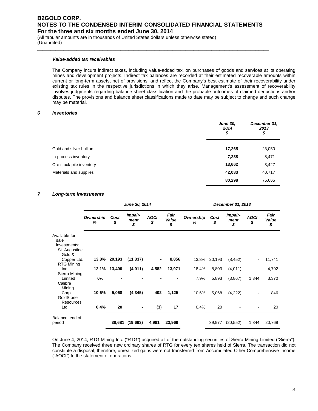\_\_\_\_\_\_\_\_\_\_\_\_\_\_\_\_\_\_\_\_\_\_\_\_\_\_\_\_\_\_\_\_\_\_\_\_\_\_\_\_\_\_\_\_\_\_\_\_\_\_\_\_\_\_\_\_\_\_\_\_\_\_\_\_\_\_\_\_\_\_\_\_\_\_\_\_\_\_\_\_\_\_\_\_\_\_\_\_\_

(All tabular amounts are in thousands of United States dollars unless otherwise stated) (Unaudited)

#### *Value-added tax receivables*

The Company incurs indirect taxes, including value-added tax, on purchases of goods and services at its operating mines and development projects. Indirect tax balances are recorded at their estimated recoverable amounts within current or long-term assets, net of provisions, and reflect the Company's best estimate of their recoverability under existing tax rules in the respective jurisdictions in which they arise. Management's assessment of recoverability involves judgments regarding balance sheet classification and the probable outcomes of claimed deductions and/or disputes. The provisions and balance sheet classifications made to date may be subject to change and such change may be material.

#### *6 Inventories*

|                          | <b>June 30,</b><br>2014<br>\$ | December 31,<br>2013<br>\$ |
|--------------------------|-------------------------------|----------------------------|
| Gold and silver bullion  | 17,265                        | 23,050                     |
| In-process inventory     | 7,288                         | 8,471                      |
| Ore stock-pile inventory | 13,662                        | 3,427                      |
| Materials and supplies   | 42,083                        | 40,717                     |
|                          | 80,298                        | 75,665                     |

#### *7 Long-term investments*

|                                                                   |                |              | June 30, 2014         |                   |                     |                | December 31, 2013 |                       |                              |                     |  |  |
|-------------------------------------------------------------------|----------------|--------------|-----------------------|-------------------|---------------------|----------------|-------------------|-----------------------|------------------------------|---------------------|--|--|
|                                                                   | Ownership<br>% | Cost<br>\$   | Impair-<br>ment<br>\$ | <b>AOCI</b><br>\$ | Fair<br>Value<br>\$ | Ownership<br>% | Cost<br>\$        | Impair-<br>ment<br>\$ | <b>AOCI</b><br>\$            | Fair<br>Value<br>\$ |  |  |
| Available-for-<br>sale<br>investments:<br>St. Augustine<br>Gold & |                |              |                       |                   |                     |                |                   |                       |                              |                     |  |  |
| Copper Ltd.                                                       |                | 13.8% 20,193 | (11, 337)             | -                 | 8,856               | 13.8%          | 20,193            | (8, 452)              | $\qquad \qquad \blacksquare$ | 11,741              |  |  |
| <b>RTG Mining</b><br>Inc.<br>Sierra Mining                        | 12.1%          | 13,400       | (4,011)               | 4,582             | 13,971              | 18.4%          | 8,803             | (4,011)               |                              | 4,792               |  |  |
| Limited<br>Calibre<br>Mining                                      | $0\%$          |              |                       |                   |                     | 7.9%           | 5,893             | (3,867)               | 1,344                        | 3,370               |  |  |
| Corp.<br>GoldStone<br>Resources                                   | 10.6%          | 5,068        | (4, 345)              | 402               | 1,125               | 10.6%          | 5,068             | (4,222)               |                              | 846                 |  |  |
| Ltd.                                                              | 0.4%           | 20           |                       | (3)               | 17                  | 0.4%           | 20                |                       |                              | 20                  |  |  |
| Balance, end of<br>period                                         |                | 38,681       | (19,693)              | 4,981             | 23,969              |                | 39,977            | (20, 552)             | 1,344                        | 20,769              |  |  |

On June 4, 2014, RTG Mining Inc. ("RTG") acquired all of the outstanding securities of Sierra Mining Limited ("Sierra"). The Company received three new ordinary shares of RTG for every ten shares held of Sierra. The transaction did not constitute a disposal; therefore, unrealized gains were not transferred from Accumulated Other Comprehensive Income ("AOCI") to the statement of operations.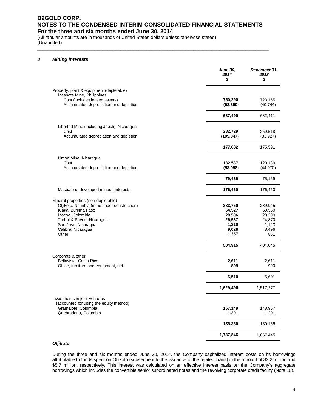\_\_\_\_\_\_\_\_\_\_\_\_\_\_\_\_\_\_\_\_\_\_\_\_\_\_\_\_\_\_\_\_\_\_\_\_\_\_\_\_\_\_\_\_\_\_\_\_\_\_\_\_\_\_\_\_\_\_\_\_\_\_\_\_\_\_\_\_\_\_\_\_\_\_\_\_\_\_\_\_\_\_\_\_\_\_\_\_\_

(All tabular amounts are in thousands of United States dollars unless otherwise stated) (Unaudited)

#### *8 Mining interests*

|                                                                                                                                                                                                                 | <b>June 30,</b><br>2014<br>\$                                    | December 31,<br>2013<br>\$                                     |
|-----------------------------------------------------------------------------------------------------------------------------------------------------------------------------------------------------------------|------------------------------------------------------------------|----------------------------------------------------------------|
| Property, plant & equipment (depletable)<br>Masbate Mine, Philippines<br>Cost (includes leased assets)<br>Accumulated depreciation and depletion                                                                | 750,290<br>(62, 800)                                             | 723,155<br>(40, 744)                                           |
|                                                                                                                                                                                                                 | 687,490                                                          | 682,411                                                        |
| Libertad Mine (including Jabali), Nicaragua<br>Cost<br>Accumulated depreciation and depletion                                                                                                                   | 282,729<br>(105, 047)                                            | 259,518<br>(83, 927)                                           |
|                                                                                                                                                                                                                 | 177,682                                                          | 175,591                                                        |
| Limon Mine, Nicaragua<br>Cost<br>Accumulated depreciation and depletion                                                                                                                                         | 132,537<br>(53,098)                                              | 120,139<br>(44, 970)                                           |
|                                                                                                                                                                                                                 | 79,439                                                           | 75,169                                                         |
| Masbate undeveloped mineral interests                                                                                                                                                                           | 176,460                                                          | 176,460                                                        |
| Mineral properties (non-depletable)<br>Otjikoto, Namibia (mine under construction)<br>Kiaka, Burkina Faso<br>Mocoa, Colombia<br>Trebol & Pavon, Nicaragua<br>San Jose, Nicaragua<br>Calibre, Nicaragua<br>Other | 383,750<br>54,527<br>28,506<br>26,537<br>1,210<br>9,028<br>1,357 | 289,945<br>50,550<br>28,200<br>24,870<br>1,123<br>8,496<br>861 |
|                                                                                                                                                                                                                 | 504,915                                                          | 404,045                                                        |
| Corporate & other<br>Bellavista, Costa Rica<br>Office, furniture and equipment, net                                                                                                                             | 2,611<br>899                                                     | 2,611<br>990                                                   |
|                                                                                                                                                                                                                 | 3,510                                                            | 3,601                                                          |
|                                                                                                                                                                                                                 | 1,629,496                                                        | 1,517,277                                                      |
| Investments in joint ventures<br>(accounted for using the equity method)<br>Gramalote, Colombia<br>Quebradona, Colombia                                                                                         | 157,149<br>1,201                                                 | 148,967<br>1,201                                               |
|                                                                                                                                                                                                                 | 158,350                                                          | 150,168                                                        |
|                                                                                                                                                                                                                 | 1,787,846                                                        | 1,667,445                                                      |

#### *Otjikoto*

During the three and six months ended June 30, 2014, the Company capitalized interest costs on its borrowings attributable to funds spent on Otjikoto (subsequent to the issuance of the related loans) in the amount of \$3.2 million and \$5.7 million, respectively. This interest was calculated on an effective interest basis on the Company's aggregate borrowings which includes the convertible senior subordinated notes and the revolving corporate credit facility (Note 10).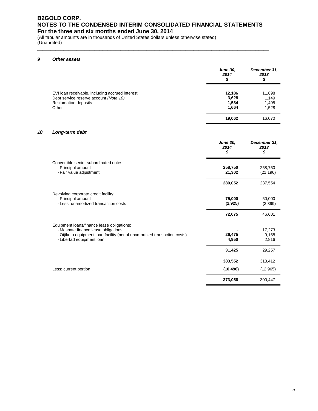\_\_\_\_\_\_\_\_\_\_\_\_\_\_\_\_\_\_\_\_\_\_\_\_\_\_\_\_\_\_\_\_\_\_\_\_\_\_\_\_\_\_\_\_\_\_\_\_\_\_\_\_\_\_\_\_\_\_\_\_\_\_\_\_\_\_\_\_\_\_\_\_\_\_\_\_\_\_\_\_\_\_\_\_\_\_\_\_\_

(All tabular amounts are in thousands of United States dollars unless otherwise stated) (Unaudited)

#### *9 Other assets*

|                                                                                                                                   | <b>June 30,</b><br>2014<br>\$     | December 31,<br>2013<br>\$        |
|-----------------------------------------------------------------------------------------------------------------------------------|-----------------------------------|-----------------------------------|
| EVI loan receivable, including accrued interest<br>Debt service reserve account (Note 10)<br><b>Reclamation deposits</b><br>Other | 12,186<br>3,628<br>1,584<br>1,664 | 11,898<br>1,149<br>1,495<br>1,528 |
|                                                                                                                                   | 19,062                            | 16,070                            |

### *10 Long-term debt*

|                                                                                                                                                                                             | <b>June 30.</b><br>2014<br>\$ | December 31,<br>2013<br>\$ |
|---------------------------------------------------------------------------------------------------------------------------------------------------------------------------------------------|-------------------------------|----------------------------|
| Convertible senior subordinated notes:<br>- Principal amount<br>- Fair value adjustment                                                                                                     | 258,750<br>21,302             | 258,750<br>(21, 196)       |
|                                                                                                                                                                                             | 280,052                       | 237,554                    |
| Revolving corporate credit facility:<br>- Principal amount<br>- Less: unamortized transaction costs                                                                                         | 75,000<br>(2,925)             | 50,000<br>(3,399)          |
|                                                                                                                                                                                             | 72,075                        | 46,601                     |
| Equipment loans/finance lease obligations:<br>- Masbate finance lease obligations<br>- Otjikoto equipment loan facility (net of unamortized transaction costs)<br>- Libertad equipment loan | 26,475<br>4,950               | 17,273<br>9,168<br>2,816   |
|                                                                                                                                                                                             | 31,425                        | 29,257                     |
|                                                                                                                                                                                             | 383,552                       | 313,412                    |
| Less: current portion                                                                                                                                                                       | (10, 496)                     | (12, 965)                  |
|                                                                                                                                                                                             | 373,056                       | 300,447                    |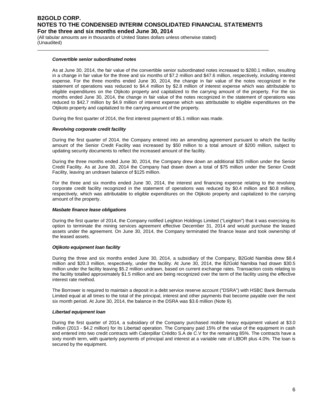\_\_\_\_\_\_\_\_\_\_\_\_\_\_\_\_\_\_\_\_\_\_\_\_\_\_\_\_\_\_\_\_\_\_\_\_\_\_\_\_\_\_\_\_\_\_\_\_\_\_\_\_\_\_\_\_\_\_\_\_\_\_\_\_\_\_\_\_\_\_\_\_\_\_\_\_\_\_\_\_\_\_\_\_\_\_\_\_\_

(All tabular amounts are in thousands of United States dollars unless otherwise stated) (Unaudited)

#### *Convertible senior subordinated notes*

As at June 30, 2014, the fair value of the convertible senior subordinated notes increased to \$280.1 million, resulting in a change in fair value for the three and six months of \$7.2 million and \$47.6 million, respectively, including interest expense. For the three months ended June 30, 2014, the change in fair value of the notes recognized in the statement of operations was reduced to \$4.4 million by \$2.8 million of interest expense which was attributable to eligible expenditures on the Otjikoto property and capitalized to the carrying amount of the property. For the six months ended June 30, 2014, the change in fair value of the notes recognized in the statement of operations was reduced to \$42.7 million by \$4.9 million of interest expense which was attributable to eligible expenditures on the Otjikoto property and capitalized to the carrying amount of the property.

During the first quarter of 2014, the first interest payment of \$5.1 million was made.

#### *Revolving corporate credit facility*

During the first quarter of 2014, the Company entered into an amending agreement pursuant to which the facility amount of the Senior Credit Facility was increased by \$50 million to a total amount of \$200 million, subject to updating security documents to reflect the increased amount of the facility.

During the three months ended June 30, 2014, the Company drew down an additional \$25 million under the Senior Credit Facility. As at June 30, 2014 the Company had drawn down a total of \$75 million under the Senior Credit Facility, leaving an undrawn balance of \$125 million.

For the three and six months ended June 30, 2014, the interest and financing expense relating to the revolving corporate credit facility recognized in the statement of operations was reduced by \$0.4 million and \$0.8 million, respectively, which was attributable to eligible expenditures on the Otjikoto property and capitalized to the carrying amount of the property.

#### *Masbate finance lease obligations*

During the first quarter of 2014, the Company notified Leighton Holdings Limited ("Leighton") that it was exercising its option to terminate the mining services agreement effective December 31, 2014 and would purchase the leased assets under the agreement. On June 30, 2014, the Company terminated the finance lease and took ownership of the leased assets.

#### *Otjikoto equipment loan facility*

During the three and six months ended June 30, 2014, a subsidiary of the Company, B2Gold Namibia drew \$8.4 million and \$20.3 million, respectively, under the facility. At June 30, 2014, the B2Gold Namibia had drawn \$30.5 million under the facility leaving \$5.2 million undrawn, based on current exchange rates. Transaction costs relating to the facility totalled approximately \$1.5 million and are being recognized over the term of the facility using the effective interest rate method.

The Borrower is required to maintain a deposit in a debt service reserve account ("DSRA") with HSBC Bank Bermuda Limited equal at all times to the total of the principal, interest and other payments that become payable over the next six month period. At June 30, 2014, the balance in the DSRA was \$3.6 million (Note 9).

#### *Libertad equipment loan*

During the first quarter of 2014, a subsidiary of the Company purchased mobile heavy equipment valued at \$3.0 million (2013 - \$4.2 million) for its Libertad operation. The Company paid 15% of the value of the equipment in cash and entered into two credit contracts with Caterpillar Crédito S.A de C.V for the remaining 85%. The contracts have a sixty month term, with quarterly payments of principal and interest at a variable rate of LIBOR plus 4.0%. The loan is secured by the equipment.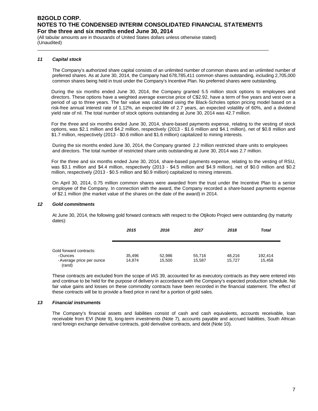\_\_\_\_\_\_\_\_\_\_\_\_\_\_\_\_\_\_\_\_\_\_\_\_\_\_\_\_\_\_\_\_\_\_\_\_\_\_\_\_\_\_\_\_\_\_\_\_\_\_\_\_\_\_\_\_\_\_\_\_\_\_\_\_\_\_\_\_\_\_\_\_\_\_\_\_\_\_\_\_\_\_\_\_\_\_\_\_\_

(All tabular amounts are in thousands of United States dollars unless otherwise stated) (Unaudited)

#### *11 Capital stock*

The Company's authorized share capital consists of an unlimited number of common shares and an unlimited number of preferred shares. As at June 30, 2014, the Company had 678,785,411 common shares outstanding, including 2,705,000 common shares being held in trust under the Company's Incentive Plan. No preferred shares were outstanding.

During the six months ended June 30, 2014, the Company granted 5.5 million stock options to employees and directors. These options have a weighted average exercise price of C\$2.92, have a term of five years and vest over a period of up to three years. The fair value was calculated using the Black-Scholes option pricing model based on a risk-free annual interest rate of 1.12%, an expected life of 2.7 years, an expected volatility of 60%, and a dividend yield rate of nil. The total number of stock options outstanding at June 30, 2014 was 42.7 million.

For the three and six months ended June 30, 2014, share-based payments expense, relating to the vesting of stock options, was \$2.1 million and \$4.2 million, respectively (2013 - \$1.6 million and \$4.1 million), net of \$0.8 million and \$1.7 million, respectively (2013 - \$0.6 million and \$1.6 million) capitalized to mining interests.

During the six months ended June 30, 2014, the Company granted 2.2 million restricted share units to employees and directors. The total number of restricted share units outstanding at June 30, 2014 was 2.7 million.

For the three and six months ended June 30, 2014, share-based payments expense, relating to the vesting of RSU, was \$3.1 million and \$4.4 million, respectively (2013 - \$4.5 million and \$4.9 million), net of \$0.0 million and \$0.2 million, respectively (2013 - \$0.5 million and \$0.9 million) capitalized to mining interests.

On April 30, 2014, 0.75 million common shares were awarded from the trust under the Incentive Plan to a senior employee of the Company. In connection with the award, the Company recorded a share-based payments expense of \$2.1 million (the market value of the shares on the date of the award) in 2014.

#### *12 Gold commitments*

At June 30, 2014, the following gold forward contracts with respect to the Otjikoto Project were outstanding (by maturity dates):

|                                                                           | 2015             | 2016             | 2017             | 2018             | <b>Total</b>      |
|---------------------------------------------------------------------------|------------------|------------------|------------------|------------------|-------------------|
| Gold forward contracts:<br>-Ounces<br>- Average price per ounce<br>(rand) | 35.496<br>14.874 | 52,986<br>15.500 | 55,716<br>15,587 | 48.216<br>15.727 | 192.414<br>15,458 |

These contracts are excluded from the scope of IAS 39, accounted for as executory contracts as they were entered into and continue to be held for the purpose of delivery in accordance with the Company's expected production schedule. No fair value gains and losses on these commodity contracts have been recorded in the financial statement. The effect of these contracts will be to provide a fixed price in rand for a portion of gold sales.

#### *13 Financial instruments*

The Company's financial assets and liabilities consist of cash and cash equivalents, accounts receivable, loan receivable from EVI (Note 9), long-term investments (Note 7), accounts payable and accrued liabilities, South African rand foreign exchange derivative contracts, gold derivative contracts, and debt (Note 10).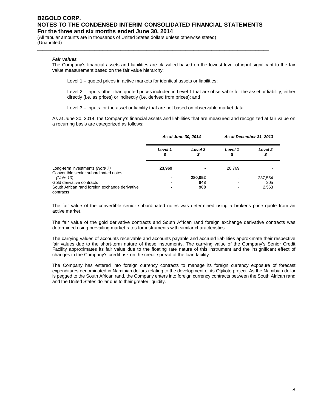\_\_\_\_\_\_\_\_\_\_\_\_\_\_\_\_\_\_\_\_\_\_\_\_\_\_\_\_\_\_\_\_\_\_\_\_\_\_\_\_\_\_\_\_\_\_\_\_\_\_\_\_\_\_\_\_\_\_\_\_\_\_\_\_\_\_\_\_\_\_\_\_\_\_\_\_\_\_\_\_\_\_\_\_\_\_\_\_\_

(All tabular amounts are in thousands of United States dollars unless otherwise stated) (Unaudited)

#### *Fair values*

The Company's financial assets and liabilities are classified based on the lowest level of input significant to the fair value measurement based on the fair value hierarchy:

Level 1 – quoted prices in active markets for identical assets or liabilities:

Level 2 – inputs other than quoted prices included in Level 1 that are observable for the asset or liability, either directly (i.e. as prices) or indirectly (i.e. derived from prices); and

Level 3 – inputs for the asset or liability that are not based on observable market data.

As at June 30, 2014, the Company's financial assets and liabilities that are measured and recognized at fair value on a recurring basis are categorized as follows:

|                                                                         |               | As at June 30, 2014     |               | As at December 31, 2013 |
|-------------------------------------------------------------------------|---------------|-------------------------|---------------|-------------------------|
|                                                                         | Level 1<br>\$ | Level <sub>2</sub><br>S | Level 1<br>\$ | Level <sub>2</sub><br>S |
| Long-term investments (Note 7)<br>Convertible senior subordinated notes | 23.969        |                         | 20.769        |                         |
| (Note 10)                                                               |               | 280.052                 |               | 237,554                 |
| Gold derivative contracts                                               |               | 848                     |               | 205                     |
| South African rand foreign exchange derivative<br>contracts             |               | 908                     |               | 2,563                   |

The fair value of the convertible senior subordinated notes was determined using a broker's price quote from an active market.

The fair value of the gold derivative contracts and South African rand foreign exchange derivative contracts was determined using prevailing market rates for instruments with similar characteristics.

The carrying values of accounts receivable and accounts payable and accrued liabilities approximate their respective fair values due to the short-term nature of these instruments. The carrying value of the Company's Senior Credit Facility approximates its fair value due to the floating rate nature of this instrument and the insignificant effect of changes in the Company's credit risk on the credit spread of the loan facility.

The Company has entered into foreign currency contracts to manage its foreign currency exposure of forecast expenditures denominated in Namibian dollars relating to the development of its Otjikoto project. As the Namibian dollar is pegged to the South African rand, the Company enters into foreign currency contracts between the South African rand and the United States dollar due to their greater liquidity.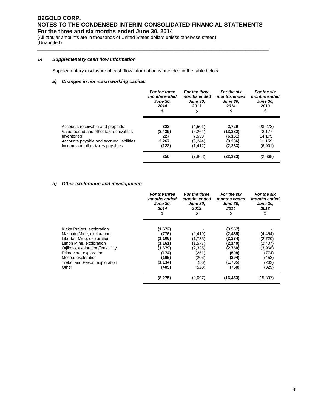\_\_\_\_\_\_\_\_\_\_\_\_\_\_\_\_\_\_\_\_\_\_\_\_\_\_\_\_\_\_\_\_\_\_\_\_\_\_\_\_\_\_\_\_\_\_\_\_\_\_\_\_\_\_\_\_\_\_\_\_\_\_\_\_\_\_\_\_\_\_\_\_\_\_\_\_\_\_\_\_\_\_\_\_\_\_\_\_\_

(All tabular amounts are in thousands of United States dollars unless otherwise stated) (Unaudited)

#### *14 Supplementary cash flow information*

Supplementary disclosure of cash flow information is provided in the table below:

#### *a) Changes in non-cash working capital:*

|                                                                                            | For the three<br>months ended<br><b>June 30,</b><br>2014<br>\$ | For the three<br>months ended<br><b>June 30,</b><br>2013<br>\$ | For the six<br>months ended<br><b>June 30.</b><br>2014<br>\$ | For the six<br>months ended<br><b>June 30,</b><br>2013<br>\$ |
|--------------------------------------------------------------------------------------------|----------------------------------------------------------------|----------------------------------------------------------------|--------------------------------------------------------------|--------------------------------------------------------------|
| Accounts receivable and prepaids                                                           | 323                                                            | (4,501)                                                        | 2.729                                                        | (23, 278)                                                    |
| Value-added and other tax receivables                                                      | (3, 439)                                                       | (6,264)                                                        | (13,382)                                                     | 2.177                                                        |
| Inventories<br>Accounts payable and accrued liabilities<br>Income and other taxes payables | 227<br>3.267<br>(122)                                          | 7,553<br>(3,244)<br>(1, 412)                                   | (6, 151)<br>(3,236)<br>(2, 283)                              | 14.175<br>11.159<br>(6,901)                                  |
|                                                                                            | 256                                                            | (7,868)                                                        | (22,323)                                                     | (2,668)                                                      |

#### *b) Other exploration and development:*

|                                   | For the three<br>months ended<br><b>June 30,</b><br>2014<br>\$ | For the three<br>months ended<br><b>June 30,</b><br>2013<br>\$ | For the six<br>months ended<br><b>June 30,</b><br>2014<br>\$ | For the six<br>months ended<br><b>June 30,</b><br>2013<br>\$ |
|-----------------------------------|----------------------------------------------------------------|----------------------------------------------------------------|--------------------------------------------------------------|--------------------------------------------------------------|
| Kiaka Project, exploration        | (1,672)                                                        |                                                                | (3, 557)                                                     |                                                              |
| Masbate Mine, exploration         | (776)                                                          | (2, 419)                                                       | (2, 435)                                                     | (4, 454)                                                     |
| Libertad Mine, exploration        | (1, 108)                                                       | (1,735)                                                        | (2,274)                                                      | (2,720)                                                      |
| Limon Mine, exploration           | (1, 161)                                                       | (1,577)                                                        | (2,140)                                                      | (2, 407)                                                     |
| Otjikoto, exploration/feasibility | (1,679)                                                        | (2,325)                                                        | (2,760)                                                      | (3,968)                                                      |
| Primavera, exploration            | (174)                                                          | (251)                                                          | (508)                                                        | (774)                                                        |
| Mocoa, exploration                | (166)                                                          | (206)                                                          | (294)                                                        | (453)                                                        |
| Trebol and Pavon, exploration     | (1, 134)                                                       | (56)                                                           | (1,735)                                                      | (202)                                                        |
| Other                             | (405)                                                          | (528)                                                          | (750)                                                        | (829)                                                        |
|                                   | (8,275)                                                        | (9,097)                                                        | (16, 453)                                                    | (15, 807)                                                    |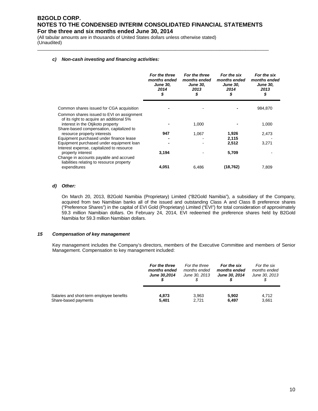\_\_\_\_\_\_\_\_\_\_\_\_\_\_\_\_\_\_\_\_\_\_\_\_\_\_\_\_\_\_\_\_\_\_\_\_\_\_\_\_\_\_\_\_\_\_\_\_\_\_\_\_\_\_\_\_\_\_\_\_\_\_\_\_\_\_\_\_\_\_\_\_\_\_\_\_\_\_\_\_\_\_\_\_\_\_\_\_\_

(All tabular amounts are in thousands of United States dollars unless otherwise stated) (Unaudited)

#### *c) Non-cash investing and financing activities:*

|                                                                                                                            | For the three<br>months ended<br><b>June 30.</b><br>2014<br>\$ | For the three<br>months ended<br><b>June 30.</b><br>2013<br>\$ | For the six<br>months ended<br><b>June 30,</b><br>2014<br>\$ | For the six<br>months ended<br><b>June 30,</b><br>2013<br>\$ |
|----------------------------------------------------------------------------------------------------------------------------|----------------------------------------------------------------|----------------------------------------------------------------|--------------------------------------------------------------|--------------------------------------------------------------|
| Common shares issued for CGA acquisition                                                                                   |                                                                |                                                                |                                                              | 984,870                                                      |
| Common shares issued to EVI on assignment<br>of its right to acquire an additional 5%<br>interest in the Otjikoto property |                                                                | 1,000                                                          |                                                              | 1,000                                                        |
| Share-based compensation, capitalized to<br>resource property interests                                                    | 947                                                            | 1,067                                                          | 1,926                                                        | 2,473                                                        |
| Equipment purchased under finance lease                                                                                    |                                                                |                                                                | 2,115                                                        |                                                              |
| Equipment purchased under equipment loan<br>Interest expense, capitalized to resource                                      |                                                                |                                                                | 2,512                                                        | 3,271                                                        |
| property interest                                                                                                          | 3,194                                                          |                                                                | 5,709                                                        |                                                              |
| Change in accounts payable and accrued<br>liabilities relating to resource property                                        |                                                                |                                                                |                                                              |                                                              |
| expenditures                                                                                                               | 4.051                                                          | 6,486                                                          | (18, 762)                                                    | 7,809                                                        |

#### *d) Other:*

On March 20, 2013, B2Gold Namibia (Proprietary) Limited ("B2Gold Namibia"), a subsidiary of the Company, acquired from two Namibian banks all of the issued and outstanding Class A and Class B preference shares ("Preference Shares") in the capital of EVI Gold (Proprietary) Limited ("EVI") for total consideration of approximately 59.3 million Namibian dollars. On February 24, 2014, EVI redeemed the preference shares held by B2Gold Namibia for 59.3 million Namibian dollars.

#### *15 Compensation of key management*

Key management includes the Company's directors, members of the Executive Committee and members of Senior Management. Compensation to key management included:

|                                           | For the three       | For the three | For the six          | For the six   |
|-------------------------------------------|---------------------|---------------|----------------------|---------------|
|                                           | months ended        | months ended  | months ended         | months ended  |
|                                           | <b>June 30.2014</b> | June 30, 2013 | <b>June 30, 2014</b> | June 30, 2013 |
| Salaries and short-term employee benefits | 4,873               | 3.963         | 5,902                | 4.712         |
| Share-based payments                      | 5,401               | 2.721         | 6,497                | 3,661         |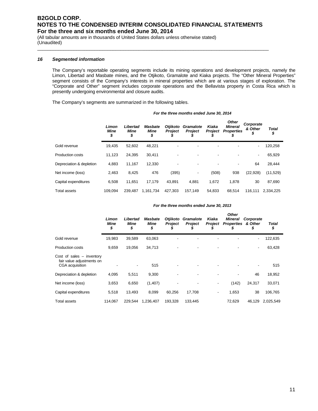\_\_\_\_\_\_\_\_\_\_\_\_\_\_\_\_\_\_\_\_\_\_\_\_\_\_\_\_\_\_\_\_\_\_\_\_\_\_\_\_\_\_\_\_\_\_\_\_\_\_\_\_\_\_\_\_\_\_\_\_\_\_\_\_\_\_\_\_\_\_\_\_\_\_\_\_\_\_\_\_\_\_\_\_\_\_\_\_\_

(All tabular amounts are in thousands of United States dollars unless otherwise stated) (Unaudited)

#### *16 Segmented information*

The Company's reportable operating segments include its mining operations and development projects, namely the Limon, Libertad and Masbate mines, and the Otjikoto, Gramalote and Kiaka projects. The "Other Mineral Properties" segment consists of the Company's interests in mineral properties which are at various stages of exploration. The "Corporate and Other" segment includes corporate operations and the Bellavista property in Costa Rica which is presently undergoing environmental and closure audits.

The Company's segments are summarized in the following tables.

|                          | Limon<br>Mine<br>\$ | Libertad<br>Mine<br>\$ | <b>Masbate</b><br>Mine<br>\$ | <b>Otjikoto</b><br><b>Project</b><br>J | Gramalote<br><b>Project</b> | Kiaka<br><b>Project</b><br>S | <b>Other</b><br><b>Mineral</b><br><b>Properties</b><br>\$ | Corporate<br>& Other<br>\$ | <b>Total</b><br>\$ |  |
|--------------------------|---------------------|------------------------|------------------------------|----------------------------------------|-----------------------------|------------------------------|-----------------------------------------------------------|----------------------------|--------------------|--|
| Gold revenue             | 19,435              | 52,602                 | 48,221                       |                                        |                             |                              |                                                           |                            | 120,258            |  |
| <b>Production costs</b>  | 11,123              | 24,395                 | 30,411                       | -                                      |                             | -                            |                                                           | ٠                          | 65,929             |  |
| Depreciation & depletion | 4,883               | 11,167                 | 12,330                       |                                        |                             |                              |                                                           | 64                         | 28.444             |  |
| Net income (loss)        | 2,463               | 8,425                  | 476                          | (395)                                  | ٠                           | (508)                        | 938                                                       | (22, 928)                  | (11,529)           |  |
| Capital expenditures     | 6,508               | 11,651                 | 17.179                       | 43.891                                 | 4,881                       | 1,672                        | 1,878                                                     | 30                         | 87,690             |  |
| <b>Total assets</b>      | 109.094             | 239.487                | 1,161,734                    | 427.303                                | 157,149                     | 54.833                       | 68.514                                                    | 116.111                    | 2,334,225          |  |

#### *For the three months ended June 30, 2013*

*For the three months ended June 30, 2014*

|                                                                             | Limon<br>Mine<br>\$ | Libertad<br>Mine<br>\$ | Masbate<br><b>Mine</b><br>\$ | Otjikoto<br><b>Project</b><br>S | Gramalote<br><b>Project</b> | Kiaka<br><b>Project</b><br>Ъ | <b>Other</b><br><b>Mineral</b><br><b>Properties</b><br>\$ | Corporate<br>& Other<br>\$ | Total<br>\$ |
|-----------------------------------------------------------------------------|---------------------|------------------------|------------------------------|---------------------------------|-----------------------------|------------------------------|-----------------------------------------------------------|----------------------------|-------------|
| Gold revenue                                                                | 19,983              | 39,589                 | 63,063                       |                                 |                             |                              |                                                           | -                          | 122,635     |
| <b>Production costs</b>                                                     | 9,659               | 19,056                 | 34,713                       |                                 |                             |                              |                                                           | ۰                          | 63,428      |
| Cost of sales $-$ inventory<br>fair value adjustments on<br>CGA acquisition |                     |                        | 515                          |                                 |                             |                              |                                                           |                            | 515         |
| Depreciation & depletion                                                    | 4,095               | 5,511                  | 9,300                        |                                 |                             |                              |                                                           | 46                         | 18,952      |
| Net income (loss)                                                           | 3,653               | 6,650                  | (1, 407)                     |                                 |                             | ٠                            | (142)                                                     | 24,317                     | 33,071      |
| Capital expenditures                                                        | 5,518               | 13,493                 | 8,099                        | 60.256                          | 17,708                      | ٠                            | 1,653                                                     | 38                         | 106,765     |
| <b>Total assets</b>                                                         | 114,067             | 229.544                | 1.236.407                    | 193.328                         | 133,445                     |                              | 72.629                                                    | 46.129                     | 2.025.549   |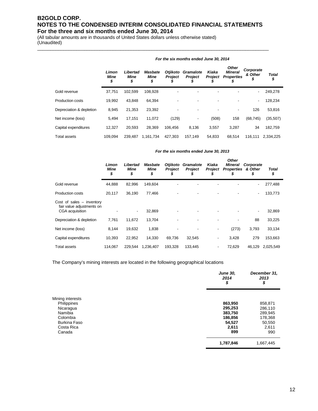\_\_\_\_\_\_\_\_\_\_\_\_\_\_\_\_\_\_\_\_\_\_\_\_\_\_\_\_\_\_\_\_\_\_\_\_\_\_\_\_\_\_\_\_\_\_\_\_\_\_\_\_\_\_\_\_\_\_\_\_\_\_\_\_\_\_\_\_\_\_\_\_\_\_\_\_\_\_\_\_\_\_\_\_\_\_\_\_\_

(All tabular amounts are in thousands of United States dollars unless otherwise stated) (Unaudited)

|                          | Limon<br>Mine<br>\$ | Libertad<br><b>Mine</b><br>\$ | <b>Masbate</b><br><b>Mine</b><br>\$ | Otjikoto<br><b>Project</b><br>\$ | <b>Gramalote</b><br><b>Project</b> | Kiaka<br><b>Project</b> | <b>Other</b><br><b>Mineral</b><br><b>Properties</b> | Corporate<br>& Other<br>\$ | <b>Total</b><br>\$ |
|--------------------------|---------------------|-------------------------------|-------------------------------------|----------------------------------|------------------------------------|-------------------------|-----------------------------------------------------|----------------------------|--------------------|
| Gold revenue             | 37,751              | 102,599                       | 108,928                             | $\overline{\phantom{a}}$         |                                    |                         |                                                     | ۰                          | 249,278            |
| Production costs         | 19.992              | 43.848                        | 64,394                              | $\overline{\phantom{a}}$         | ٠                                  | -                       | $\overline{\phantom{a}}$                            | $\overline{\phantom{a}}$   | 128,234            |
| Depreciation & depletion | 8,945               | 21,353                        | 23,392                              |                                  |                                    |                         | $\overline{\phantom{a}}$                            | 126                        | 53,816             |
| Net income (loss)        | 5,494               | 17,151                        | 11,072                              | (129)                            | ٠                                  | (508)                   | 158                                                 | (68, 745)                  | (35, 507)          |
| Capital expenditures     | 12,327              | 20.593                        | 28.369                              | 106.456                          | 8.136                              | 3,557                   | 3,287                                               | 34                         | 182,759            |
| Total assets             | 109.094             | 239.487                       | 1.161.734                           | 427.303                          | 157.149                            | 54.833                  | 68.514                                              | 116.111                    | 2.334.225          |

#### *For the six months ended June 30, 2014*

#### *For the six months ended June 30, 2013*

|                                                                             | Limon<br>Mine<br>\$ | Libertad<br>Mine<br>\$ | Masbate<br>Mine<br>\$ | Otjikoto<br><b>Project</b><br>5 | Gramalote<br><b>Project</b> | Kiaka<br>Project         | <b>Other</b><br>Mineral<br><b>Properties</b><br>\$ | Corporate<br>& Other<br>\$ | Total<br>\$ |
|-----------------------------------------------------------------------------|---------------------|------------------------|-----------------------|---------------------------------|-----------------------------|--------------------------|----------------------------------------------------|----------------------------|-------------|
| Gold revenue                                                                | 44,888              | 82,996                 | 149,604               |                                 |                             |                          |                                                    | $\overline{\phantom{0}}$   | 277,488     |
| <b>Production costs</b>                                                     | 20,117              | 36,190                 | 77.466                | -                               |                             |                          |                                                    | ۰                          | 133,773     |
| Cost of sales $-$ inventory<br>fair value adjustments on<br>CGA acquisition |                     | ٠                      | 32,869                | ٠                               |                             |                          |                                                    | $\overline{\phantom{a}}$   | 32,869      |
| Depreciation & depletion                                                    | 7,761               | 11,672                 | 13,704                | -                               |                             |                          |                                                    | 88                         | 33,225      |
| Net income (loss)                                                           | 8,144               | 19,632                 | 1,838                 |                                 |                             |                          | (273)                                              | 3,793                      | 33,134      |
| Capital expenditures                                                        | 10,393              | 22,952                 | 14.330                | 69,736                          | 32,545                      | $\overline{\phantom{a}}$ | 3,428                                              | 279                        | 153,663     |
| <b>Total assets</b>                                                         | 114,067             | 229.544                | 1,236,407             | 193.328                         | 133,445                     | ٠                        | 72,629                                             | 46,129                     | 2,025,549   |

The Company's mining interests are located in the following geographical locations

|                     | <b>June 30,</b><br>2014<br>\$ | December 31,<br>2013<br>\$ |
|---------------------|-------------------------------|----------------------------|
| Mining interests    |                               |                            |
| Philippines         | 863,950                       | 858,871                    |
| Nicaragua           | 295,253                       | 286,110                    |
| Namibia             | 383,750                       | 289,945                    |
| Colombia            | 186,856                       | 178,368                    |
| <b>Burkina Faso</b> | 54,527                        | 50,550                     |
| Costa Rica          | 2,611                         | 2,611                      |
| Canada              | 899                           | 990                        |
|                     | 1,787,846                     | 1,667,445                  |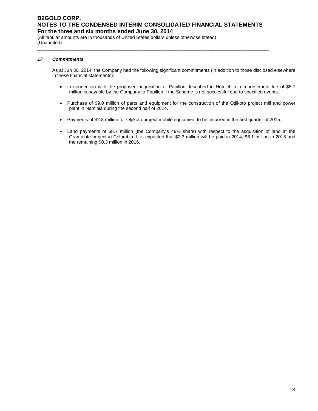\_\_\_\_\_\_\_\_\_\_\_\_\_\_\_\_\_\_\_\_\_\_\_\_\_\_\_\_\_\_\_\_\_\_\_\_\_\_\_\_\_\_\_\_\_\_\_\_\_\_\_\_\_\_\_\_\_\_\_\_\_\_\_\_\_\_\_\_\_\_\_\_\_\_\_\_\_\_\_\_\_\_\_\_\_\_\_\_\_

(All tabular amounts are in thousands of United States dollars unless otherwise stated) (Unaudited)

#### *17 Commitments*

As at Jun 30, 2014, the Company had the following significant commitments (in addition to those disclosed elsewhere in these financial statements):

- In connection with the proposed acquisition of Papillon described in Note 4, a reimbursement fee of \$5.7 million is payable by the Company to Papillon if the Scheme is not successful due to specified events.
- Purchase of \$9.0 million of parts and equipment for the construction of the Otjikoto project mill and power plant in Namibia during the second half of 2014.
- Payments of \$2.8 million for Otjikoto project mobile equipment to be incurred in the first quarter of 2015.
- Land payments of \$8.7 million (the Company's 49% share) with respect to the acquisition of land at the Gramalote project in Colombia. It is expected that \$2.3 million will be paid in 2014, \$6.1 million in 2015 and the remaining \$0.3 million in 2016.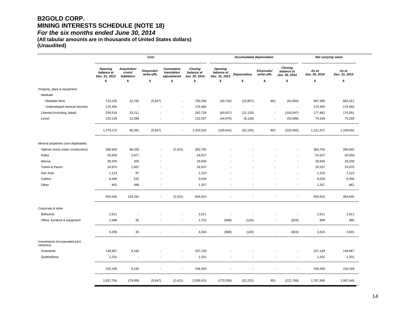### **B2GOLD CORP. MINING INTERESTS SCHEDULE (NOTE 18)**  *For the six months ended June 30, 2014*

**(All tabular amounts are in thousands of United States dollars) (Unaudited)**

|                                              |                                               |                                                  | Cost                     |                                          |                                        |                                               | <b>Accumulated depreciation</b> |                          |                                        | Net carrying value     |                        |
|----------------------------------------------|-----------------------------------------------|--------------------------------------------------|--------------------------|------------------------------------------|----------------------------------------|-----------------------------------------------|---------------------------------|--------------------------|----------------------------------------|------------------------|------------------------|
|                                              | <b>Opening</b><br>balance at<br>Dec. 31, 2013 | <b>Acquisition</b><br>costs/<br><b>Additions</b> | Disposals/<br>write-offs | Cumulative<br>translation<br>adjustments | Closing<br>balance at<br>Jun. 30, 2014 | <b>Opening</b><br>balance at<br>Dec. 31, 2013 | <b>Depreciation</b>             | Disposals/<br>write-offs | Closing<br>balance at<br>Jun. 30, 2014 | As at<br>Jun. 30, 2014 | As at<br>Dec. 31, 2013 |
|                                              | \$                                            | \$                                               | \$                       | \$                                       | \$                                     | \$                                            | \$                              | \$                       | \$                                     | \$                     | \$                     |
| Property, plant & equipment<br>Masbate       |                                               |                                                  |                          |                                          |                                        |                                               |                                 |                          |                                        |                        |                        |
| - Masbate Mine                               | 723,155                                       | 32,782                                           | (5,647)                  | $\blacksquare$                           | 750,290                                | (40, 744)                                     | (22, 857)                       | 801                      | (62, 800)                              | 687,490                | 682,411                |
| - Undeveloped mineral interests              | 176,460                                       | J.                                               |                          | $\overline{a}$                           | 176,460                                | ÷.                                            |                                 |                          |                                        | 176,460                | 176,460                |
| Libertad (including Jabali)                  | 259,518                                       | 23,211                                           |                          | $\overline{\phantom{a}}$                 | 282,729                                | (83, 927)                                     | (21, 120)                       | $\overline{\phantom{a}}$ | (105, 047)                             | 177,682                | 175,591                |
| Limon                                        | 120,139                                       | 12,398                                           |                          | $\blacksquare$                           | 132,537                                | (44, 970)                                     | (8, 128)                        |                          | (53,098)                               | 79,439                 | 75,169                 |
|                                              | 1,279,272                                     | 68,391                                           | (5,647)                  | $\overline{\phantom{a}}$                 | 1,342,016                              | (169, 641)                                    | (52, 105)                       | 801                      | (220, 945)                             | 1,121,071              | 1,109,631              |
| Mineral properties (non-depletable)          |                                               |                                                  |                          |                                          |                                        |                                               |                                 |                          |                                        |                        |                        |
| Otjikoto (mine under construction)           | 289,945                                       | 96,226                                           |                          | (2, 421)                                 | 383,750                                |                                               |                                 |                          |                                        | 383,750                | 289,945                |
| Kiaka                                        | 50,550                                        | 3,977                                            |                          |                                          | 54,527                                 |                                               |                                 |                          |                                        | 54,527                 | 50,550                 |
| Mocoa                                        | 28,200                                        | 306                                              |                          |                                          | 28,506                                 |                                               |                                 |                          |                                        | 28,506                 | 28,200                 |
| Trebol & Pavon                               | 24,870                                        | 1,667                                            |                          |                                          | 26,537                                 |                                               |                                 |                          |                                        | 26,537                 | 24,870                 |
| San Jose                                     | 1,123                                         | 87                                               |                          |                                          | 1,210                                  |                                               |                                 |                          |                                        | 1,210                  | 1,123                  |
| Calibre                                      | 8,496                                         | 532                                              |                          |                                          | 9,028                                  |                                               |                                 |                          | $\overline{\phantom{a}}$               | 9,028                  | 8,496                  |
| Other                                        | 861                                           | 496                                              | ÷,                       |                                          | 1,357                                  |                                               |                                 |                          | $\overline{\phantom{a}}$               | 1,357                  | 861                    |
|                                              | 404,045                                       | 103,291                                          | ÷,                       | (2, 421)                                 | 504,915                                |                                               |                                 |                          | ÷,                                     | 504,915                | 404,045                |
| Corporate & other                            |                                               |                                                  |                          |                                          |                                        |                                               |                                 |                          |                                        |                        |                        |
| Bellavista                                   | 2,611                                         | ÷                                                |                          | ÷,                                       | 2,611                                  |                                               |                                 |                          |                                        | 2,611                  | 2,611                  |
| Office, furniture & equipment                | 1,688                                         | 35                                               |                          | $\overline{\phantom{a}}$                 | 1,723                                  | (698)                                         | (126)                           | $\overline{\phantom{a}}$ | (824)                                  | 899                    | 990                    |
|                                              | 4,299                                         | 35                                               | $\overline{\phantom{a}}$ | $\overline{\phantom{a}}$                 | 4,334                                  | (698)                                         | (126)                           |                          | (824)                                  | 3,510                  | 3,601                  |
| Investments (incorporated joint<br>ventures) |                                               |                                                  |                          |                                          |                                        |                                               |                                 |                          |                                        |                        |                        |
| Gramalote                                    | 148,967                                       | 8,182                                            |                          | ÷,                                       | 157,149                                |                                               |                                 |                          |                                        | 157,149                | 148,967                |
| Quebradona                                   | 1,201                                         | $\overline{\phantom{a}}$                         | $\overline{\phantom{a}}$ | $\overline{\phantom{a}}$                 | 1,201                                  |                                               |                                 |                          | $\overline{\phantom{a}}$               | 1,201                  | 1,201                  |
|                                              | 150,168                                       | 8,182                                            | ÷,                       | $\blacksquare$                           | 158,350                                | $\blacksquare$                                | $\overline{\phantom{a}}$        | $\sim$                   | $\blacksquare$                         | 158,350                | 150,168                |
|                                              | 1,837,784                                     | 179,899                                          | (5,647)                  | (2, 421)                                 | 2,009,615                              | (170, 339)                                    | (52, 231)                       | 801                      | (221, 769)                             | 1,787,846              | 1,667,445              |